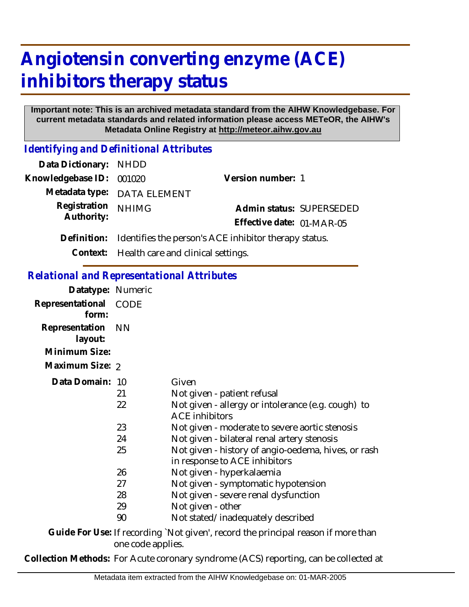## **Angiotensin converting enzyme (ACE) inhibitors therapy status**

## **Important note: This is an archived metadata standard from the AIHW Knowledgebase. For current metadata standards and related information please access METeOR, the AIHW's Metadata Online Registry at http://meteor.aihw.gov.au**

*Identifying and Definitional Attributes*

| Data Dictionary: NHDD    |                                                       |                           |  |
|--------------------------|-------------------------------------------------------|---------------------------|--|
| Knowledgebase ID: 001020 |                                                       | Version number: 1         |  |
|                          | Metadata type: DATA ELEMENT                           |                           |  |
| Registration             | <b>NHIMG</b>                                          | Admin status: SUPERSEDED  |  |
| Authority:               |                                                       | Effective date: 01-MAR-05 |  |
| Definition:              | Identifies the person's ACE inhibitor therapy status. |                           |  |
|                          | Context: Health care and clinical settings.           |                           |  |

## *Relational and Representational Attributes*

| Datatype: Numeric         |                            |                                                                                                                                                                                                                                                                             |
|---------------------------|----------------------------|-----------------------------------------------------------------------------------------------------------------------------------------------------------------------------------------------------------------------------------------------------------------------------|
| Representational<br>form: | CODE                       |                                                                                                                                                                                                                                                                             |
| Representation<br>layout: | <b>NN</b>                  |                                                                                                                                                                                                                                                                             |
| Minimum Size:             |                            |                                                                                                                                                                                                                                                                             |
| Maximum Size: 2           |                            |                                                                                                                                                                                                                                                                             |
| Data Domain: 10           | 21<br>22<br>23<br>24<br>25 | Given<br>Not given - patient refusal<br>Not given - allergy or intolerance (e.g. cough) to<br><b>ACE inhibitors</b><br>Not given - moderate to severe aortic stenosis<br>Not given - bilateral renal artery stenosis<br>Not given - history of angio-oedema, hives, or rash |
|                           | 26<br>27<br>28<br>29<br>90 | in response to ACE inhibitors<br>Not given - hyperkalaemia<br>Not given - symptomatic hypotension<br>Not given - severe renal dysfunction<br>Not given - other<br>Not stated/inadequately described                                                                         |
|                           |                            | $\bigcap$ ulala Ean Uga. If noogaaling 'Mat alugal noogaal the mulgolaal noogaa if noong thean                                                                                                                                                                              |

Guide For Use: If recording `Not given', record the principal reason if more than one code applies.

**Collection Methods:** For Acute coronary syndrome (ACS) reporting, can be collected at